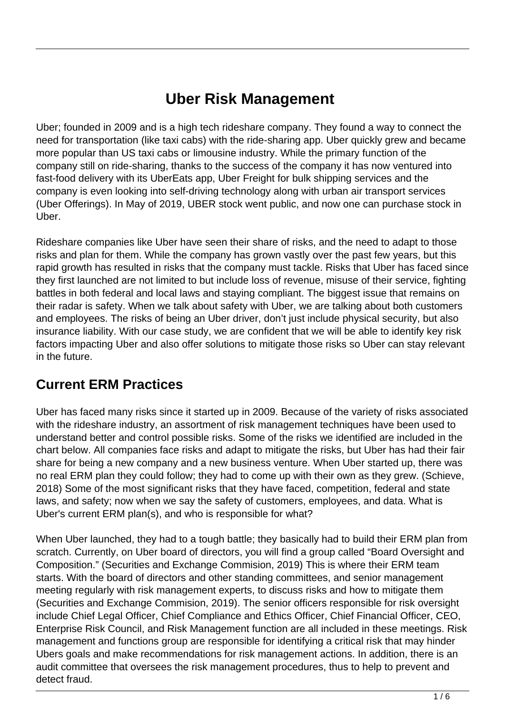# **Uber Risk Management**

Uber; founded in 2009 and is a high tech rideshare company. They found a way to connect the need for transportation (like taxi cabs) with the ride-sharing app. Uber quickly grew and became more popular than US taxi cabs or limousine industry. While the primary function of the company still on ride-sharing, thanks to the success of the company it has now ventured into fast-food delivery with its UberEats app, Uber Freight for bulk shipping services and the company is even looking into self-driving technology along with urban air transport services (Uber Offerings). In May of 2019, UBER stock went public, and now one can purchase stock in Uber.

Rideshare companies like Uber have seen their share of risks, and the need to adapt to those risks and plan for them. While the company has grown vastly over the past few years, but this rapid growth has resulted in risks that the company must tackle. Risks that Uber has faced since they first launched are not limited to but include loss of revenue, misuse of their service, fighting battles in both federal and local laws and staying compliant. The biggest issue that remains on their radar is safety. When we talk about safety with Uber, we are talking about both customers and employees. The risks of being an Uber driver, don't just include physical security, but also insurance liability. With our case study, we are confident that we will be able to identify key risk factors impacting Uber and also offer solutions to mitigate those risks so Uber can stay relevant in the future.

### **Current ERM Practices**

Uber has faced many risks since it started up in 2009. Because of the variety of risks associated with the rideshare industry, an assortment of risk management techniques have been used to understand better and control possible risks. Some of the risks we identified are included in the chart below. All companies face risks and adapt to mitigate the risks, but Uber has had their fair share for being a new company and a new business venture. When Uber started up, there was no real ERM plan they could follow; they had to come up with their own as they grew. (Schieve, 2018) Some of the most significant risks that they have faced, competition, federal and state laws, and safety; now when we say the safety of customers, employees, and data. What is Uber's current ERM plan(s), and who is responsible for what?

When Uber launched, they had to a tough battle; they basically had to build their ERM plan from scratch. Currently, on Uber board of directors, you will find a group called "Board Oversight and Composition." (Securities and Exchange Commision, 2019) This is where their ERM team starts. With the board of directors and other standing committees, and senior management meeting regularly with risk management experts, to discuss risks and how to mitigate them (Securities and Exchange Commision, 2019). The senior officers responsible for risk oversight include Chief Legal Officer, Chief Compliance and Ethics Officer, Chief Financial Officer, CEO, Enterprise Risk Council, and Risk Management function are all included in these meetings. Risk management and functions group are responsible for identifying a critical risk that may hinder Ubers goals and make recommendations for risk management actions. In addition, there is an audit committee that oversees the risk management procedures, thus to help to prevent and detect fraud.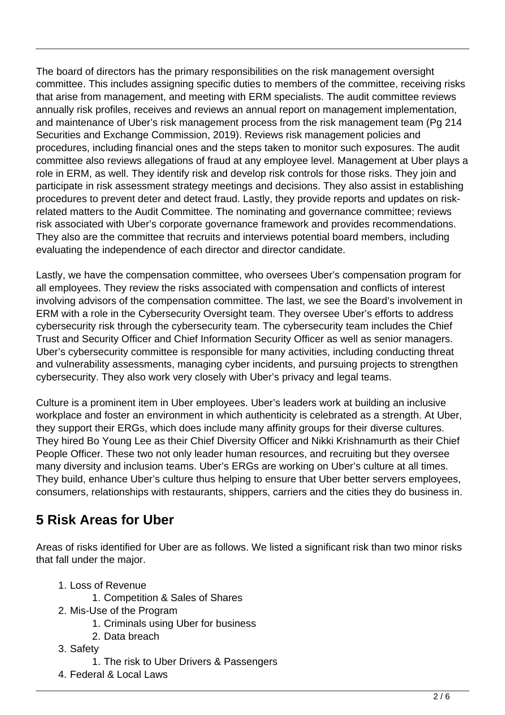The board of directors has the primary responsibilities on the risk management oversight committee. This includes assigning specific duties to members of the committee, receiving risks that arise from management, and meeting with ERM specialists. The audit committee reviews annually risk profiles, receives and reviews an annual report on management implementation, and maintenance of Uber's risk management process from the risk management team (Pg 214 Securities and Exchange Commission, 2019). Reviews risk management policies and procedures, including financial ones and the steps taken to monitor such exposures. The audit committee also reviews allegations of fraud at any employee level. Management at Uber plays a role in ERM, as well. They identify risk and develop risk controls for those risks. They join and participate in risk assessment strategy meetings and decisions. They also assist in establishing procedures to prevent deter and detect fraud. Lastly, they provide reports and updates on riskrelated matters to the Audit Committee. The nominating and governance committee; reviews risk associated with Uber's corporate governance framework and provides recommendations. They also are the committee that recruits and interviews potential board members, including evaluating the independence of each director and director candidate.

Lastly, we have the compensation committee, who oversees Uber's compensation program for all employees. They review the risks associated with compensation and conflicts of interest involving advisors of the compensation committee. The last, we see the Board's involvement in ERM with a role in the Cybersecurity Oversight team. They oversee Uber's efforts to address cybersecurity risk through the cybersecurity team. The cybersecurity team includes the Chief Trust and Security Officer and Chief Information Security Officer as well as senior managers. Uber's cybersecurity committee is responsible for many activities, including conducting threat and vulnerability assessments, managing cyber incidents, and pursuing projects to strengthen cybersecurity. They also work very closely with Uber's privacy and legal teams.

Culture is a prominent item in Uber employees. Uber's leaders work at building an inclusive workplace and foster an environment in which authenticity is celebrated as a strength. At Uber, they support their ERGs, which does include many affinity groups for their diverse cultures. They hired Bo Young Lee as their Chief Diversity Officer and Nikki Krishnamurth as their Chief People Officer. These two not only leader human resources, and recruiting but they oversee many diversity and inclusion teams. Uber's ERGs are working on Uber's culture at all times. They build, enhance Uber's culture thus helping to ensure that Uber better servers employees, consumers, relationships with restaurants, shippers, carriers and the cities they do business in.

# **5 Risk Areas for Uber**

Areas of risks identified for Uber are as follows. We listed a significant risk than two minor risks that fall under the major.

- 1. Loss of Revenue
	- 1. Competition & Sales of Shares
- 2. Mis-Use of the Program
	- 1. Criminals using Uber for business
	- 2. Data breach
- 3. Safety
	- 1. The risk to Uber Drivers & Passengers
- 4. Federal & Local Laws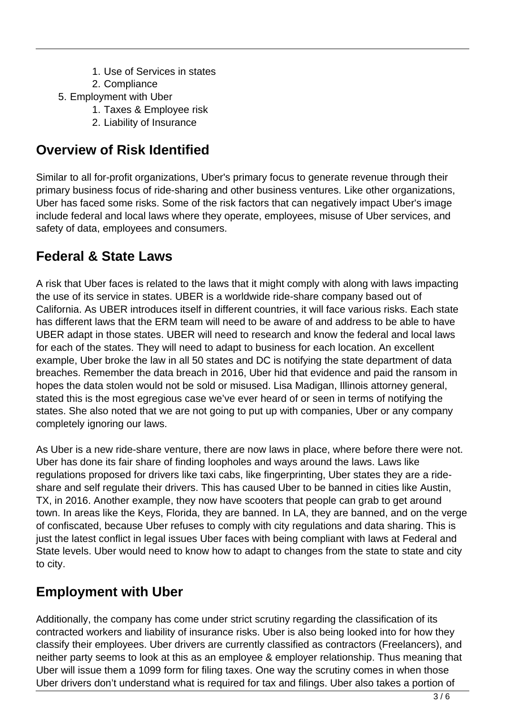- 1. Use of Services in states
- 2. Compliance
- 5. Employment with Uber
	- 1. Taxes & Employee risk
	- 2. Liability of Insurance

#### **Overview of Risk Identified**

Similar to all for-profit organizations, Uber's primary focus to generate revenue through their primary business focus of ride-sharing and other business ventures. Like other organizations, Uber has faced some risks. Some of the risk factors that can negatively impact Uber's image include federal and local laws where they operate, employees, misuse of Uber services, and safety of data, employees and consumers.

#### **Federal & State Laws**

A risk that Uber faces is related to the laws that it might comply with along with laws impacting the use of its service in states. UBER is a worldwide ride-share company based out of California. As UBER introduces itself in different countries, it will face various risks. Each state has different laws that the ERM team will need to be aware of and address to be able to have UBER adapt in those states. UBER will need to research and know the federal and local laws for each of the states. They will need to adapt to business for each location. An excellent example, Uber broke the law in all 50 states and DC is notifying the state department of data breaches. Remember the data breach in 2016, Uber hid that evidence and paid the ransom in hopes the data stolen would not be sold or misused. Lisa Madigan, Illinois attorney general, stated this is the most egregious case we've ever heard of or seen in terms of notifying the states. She also noted that we are not going to put up with companies, Uber or any company completely ignoring our laws.

As Uber is a new ride-share venture, there are now laws in place, where before there were not. Uber has done its fair share of finding loopholes and ways around the laws. Laws like regulations proposed for drivers like taxi cabs, like fingerprinting, Uber states they are a rideshare and self regulate their drivers. This has caused Uber to be banned in cities like Austin, TX, in 2016. Another example, they now have scooters that people can grab to get around town. In areas like the Keys, Florida, they are banned. In LA, they are banned, and on the verge of confiscated, because Uber refuses to comply with city regulations and data sharing. This is just the latest conflict in legal issues Uber faces with being compliant with laws at Federal and State levels. Uber would need to know how to adapt to changes from the state to state and city to city.

### **Employment with Uber**

Additionally, the company has come under strict scrutiny regarding the classification of its contracted workers and liability of insurance risks. Uber is also being looked into for how they classify their employees. Uber drivers are currently classified as contractors (Freelancers), and neither party seems to look at this as an employee & employer relationship. Thus meaning that Uber will issue them a 1099 form for filing taxes. One way the scrutiny comes in when those Uber drivers don't understand what is required for tax and filings. Uber also takes a portion of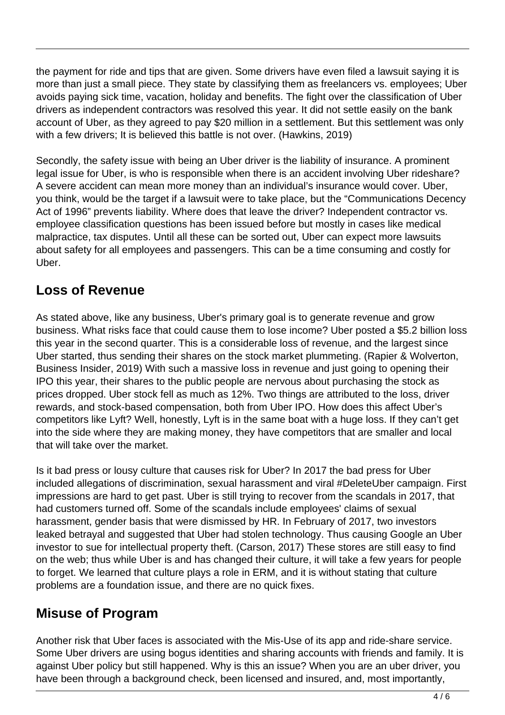the payment for ride and tips that are given. Some drivers have even filed a lawsuit saying it is more than just a small piece. They state by classifying them as freelancers vs. employees; Uber avoids paying sick time, vacation, holiday and benefits. The fight over the classification of Uber drivers as independent contractors was resolved this year. It did not settle easily on the bank account of Uber, as they agreed to pay \$20 million in a settlement. But this settlement was only with a few drivers; It is believed this battle is not over. (Hawkins, 2019)

Secondly, the safety issue with being an Uber driver is the liability of insurance. A prominent legal issue for Uber, is who is responsible when there is an accident involving Uber rideshare? A severe accident can mean more money than an individual's insurance would cover. Uber, you think, would be the target if a lawsuit were to take place, but the "Communications Decency Act of 1996" prevents liability. Where does that leave the driver? Independent contractor vs. employee classification questions has been issued before but mostly in cases like medical malpractice, tax disputes. Until all these can be sorted out, Uber can expect more lawsuits about safety for all employees and passengers. This can be a time consuming and costly for Uber.

## **Loss of Revenue**

As stated above, like any business, Uber's primary goal is to generate revenue and grow business. What risks face that could cause them to lose income? Uber posted a \$5.2 billion loss this year in the second quarter. This is a considerable loss of revenue, and the largest since Uber started, thus sending their shares on the stock market plummeting. (Rapier & Wolverton, Business Insider, 2019) With such a massive loss in revenue and just going to opening their IPO this year, their shares to the public people are nervous about purchasing the stock as prices dropped. Uber stock fell as much as 12%. Two things are attributed to the loss, driver rewards, and stock-based compensation, both from Uber IPO. How does this affect Uber's competitors like Lyft? Well, honestly, Lyft is in the same boat with a huge loss. If they can't get into the side where they are making money, they have competitors that are smaller and local that will take over the market.

Is it bad press or lousy culture that causes risk for Uber? In 2017 the bad press for Uber included allegations of discrimination, sexual harassment and viral #DeleteUber campaign. First impressions are hard to get past. Uber is still trying to recover from the scandals in 2017, that had customers turned off. Some of the scandals include employees' claims of sexual harassment, gender basis that were dismissed by HR. In February of 2017, two investors leaked betrayal and suggested that Uber had stolen technology. Thus causing Google an Uber investor to sue for intellectual property theft. (Carson, 2017) These stores are still easy to find on the web; thus while Uber is and has changed their culture, it will take a few years for people to forget. We learned that culture plays a role in ERM, and it is without stating that culture problems are a foundation issue, and there are no quick fixes.

### **Misuse of Program**

Another risk that Uber faces is associated with the Mis-Use of its app and ride-share service. Some Uber drivers are using bogus identities and sharing accounts with friends and family. It is against Uber policy but still happened. Why is this an issue? When you are an uber driver, you have been through a background check, been licensed and insured, and, most importantly,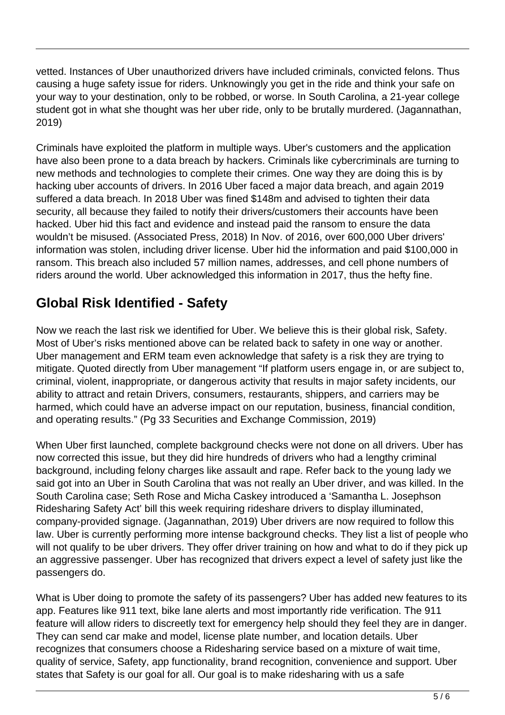vetted. Instances of Uber unauthorized drivers have included criminals, convicted felons. Thus causing a huge safety issue for riders. Unknowingly you get in the ride and think your safe on your way to your destination, only to be robbed, or worse. In South Carolina, a 21-year college student got in what she thought was her uber ride, only to be brutally murdered. (Jagannathan, 2019)

Criminals have exploited the platform in multiple ways. Uber's customers and the application have also been prone to a data breach by hackers. Criminals like cybercriminals are turning to new methods and technologies to complete their crimes. One way they are doing this is by hacking uber accounts of drivers. In 2016 Uber faced a major data breach, and again 2019 suffered a data breach. In 2018 Uber was fined \$148m and advised to tighten their data security, all because they failed to notify their drivers/customers their accounts have been hacked. Uber hid this fact and evidence and instead paid the ransom to ensure the data wouldn't be misused. (Associated Press, 2018) In Nov. of 2016, over 600,000 Uber drivers' information was stolen, including driver license. Uber hid the information and paid \$100,000 in ransom. This breach also included 57 million names, addresses, and cell phone numbers of riders around the world. Uber acknowledged this information in 2017, thus the hefty fine.

# **Global Risk Identified - Safety**

Now we reach the last risk we identified for Uber. We believe this is their global risk, Safety. Most of Uber's risks mentioned above can be related back to safety in one way or another. Uber management and ERM team even acknowledge that safety is a risk they are trying to mitigate. Quoted directly from Uber management "If platform users engage in, or are subject to, criminal, violent, inappropriate, or dangerous activity that results in major safety incidents, our ability to attract and retain Drivers, consumers, restaurants, shippers, and carriers may be harmed, which could have an adverse impact on our reputation, business, financial condition, and operating results." (Pg 33 Securities and Exchange Commission, 2019)

When Uber first launched, complete background checks were not done on all drivers. Uber has now corrected this issue, but they did hire hundreds of drivers who had a lengthy criminal background, including felony charges like assault and rape. Refer back to the young lady we said got into an Uber in South Carolina that was not really an Uber driver, and was killed. In the South Carolina case; Seth Rose and Micha Caskey introduced a 'Samantha L. Josephson Ridesharing Safety Act' bill this week requiring rideshare drivers to display illuminated, company-provided signage. (Jagannathan, 2019) Uber drivers are now required to follow this law. Uber is currently performing more intense background checks. They list a list of people who will not qualify to be uber drivers. They offer driver training on how and what to do if they pick up an aggressive passenger. Uber has recognized that drivers expect a level of safety just like the passengers do.

What is Uber doing to promote the safety of its passengers? Uber has added new features to its app. Features like 911 text, bike lane alerts and most importantly ride verification. The 911 feature will allow riders to discreetly text for emergency help should they feel they are in danger. They can send car make and model, license plate number, and location details. Uber recognizes that consumers choose a Ridesharing service based on a mixture of wait time, quality of service, Safety, app functionality, brand recognition, convenience and support. Uber states that Safety is our goal for all. Our goal is to make ridesharing with us a safe